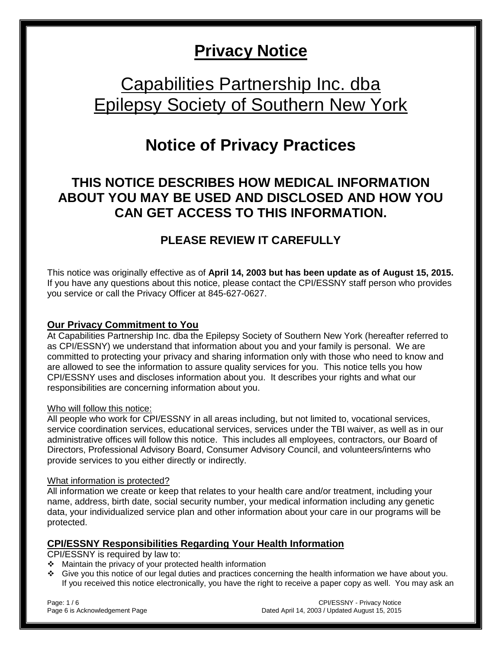# **Privacy Notice**

# Capabilities Partnership Inc. dba Epilepsy Society of Southern New York

# **Notice of Privacy Practices**

## **THIS NOTICE DESCRIBES HOW MEDICAL INFORMATION ABOUT YOU MAY BE USED AND DISCLOSED AND HOW YOU CAN GET ACCESS TO THIS INFORMATION.**

## **PLEASE REVIEW IT CAREFULLY**

This notice was originally effective as of **April 14, 2003 but has been update as of August 15, 2015.**  If you have any questions about this notice, please contact the CPI/ESSNY staff person who provides you service or call the Privacy Officer at 845-627-0627.

#### **Our Privacy Commitment to You**

At Capabilities Partnership Inc. dba the Epilepsy Society of Southern New York (hereafter referred to as CPI/ESSNY) we understand that information about you and your family is personal. We are committed to protecting your privacy and sharing information only with those who need to know and are allowed to see the information to assure quality services for you. This notice tells you how CPI/ESSNY uses and discloses information about you. It describes your rights and what our responsibilities are concerning information about you.

#### Who will follow this notice:

All people who work for CPI/ESSNY in all areas including, but not limited to, vocational services, service coordination services, educational services, services under the TBI waiver, as well as in our administrative offices will follow this notice. This includes all employees, contractors, our Board of Directors, Professional Advisory Board, Consumer Advisory Council, and volunteers/interns who provide services to you either directly or indirectly.

#### What information is protected?

All information we create or keep that relates to your health care and/or treatment, including your name, address, birth date, social security number, your medical information including any genetic data, your individualized service plan and other information about your care in our programs will be protected.

#### **CPI/ESSNY Responsibilities Regarding Your Health Information**

CPI/ESSNY is required by law to:

- Maintain the privacy of your protected health information
- Give you this notice of our legal duties and practices concerning the health information we have about you. If you received this notice electronically, you have the right to receive a paper copy as well. You may ask an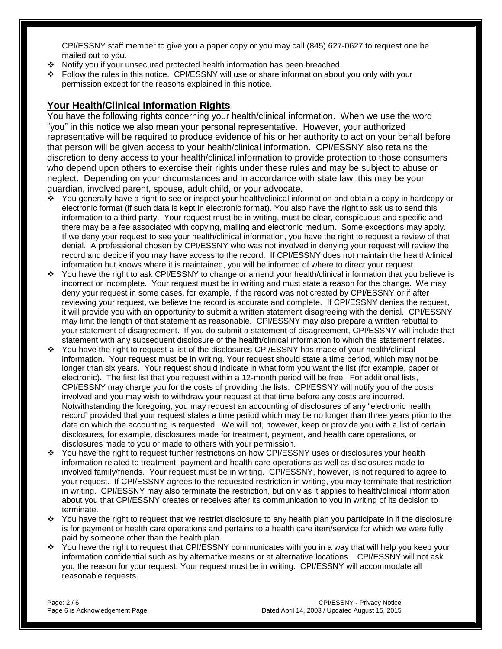CPI/ESSNY staff member to give you a paper copy or you may call (845) 627-0627 to request one be mailed out to you.

- Notify you if your unsecured protected health information has been breached.
- Follow the rules in this notice. CPI/ESSNY will use or share information about you only with your permission except for the reasons explained in this notice.

### **Your Health/Clinical Information Rights**

You have the following rights concerning your health/clinical information. When we use the word "you" in this notice we also mean your personal representative. However, your authorized representative will be required to produce evidence of his or her authority to act on your behalf before that person will be given access to your health/clinical information. CPI/ESSNY also retains the discretion to deny access to your health/clinical information to provide protection to those consumers who depend upon others to exercise their rights under these rules and may be subject to abuse or neglect. Depending on your circumstances and in accordance with state law, this may be your guardian, involved parent, spouse, adult child, or your advocate.

- You generally have a right to see or inspect your health/clinical information and obtain a copy in hardcopy or electronic format (if such data is kept in electronic format). You also have the right to ask us to send this information to a third party. Your request must be in writing, must be clear, conspicuous and specific and there may be a fee associated with copying, mailing and electronic medium. Some exceptions may apply. If we deny your request to see your health/clinical information, you have the right to request a review of that denial. A professional chosen by CPI/ESSNY who was not involved in denying your request will review the record and decide if you may have access to the record. If CPI/ESSNY does not maintain the health/clinical information but knows where it is maintained, you will be informed of where to direct your request.
- You have the right to ask CPI/ESSNY to change or amend your health/clinical information that you believe is incorrect or incomplete. Your request must be in writing and must state a reason for the change. We may deny your request in some cases, for example, if the record was not created by CPI/ESSNY or if after reviewing your request, we believe the record is accurate and complete. If CPI/ESSNY denies the request, it will provide you with an opportunity to submit a written statement disagreeing with the denial. CPI/ESSNY may limit the length of that statement as reasonable. CPI/ESSNY may also prepare a written rebuttal to your statement of disagreement. If you do submit a statement of disagreement, CPI/ESSNY will include that statement with any subsequent disclosure of the health/clinical information to which the statement relates.
- You have the right to request a list of the disclosures CPI/ESSNY has made of your health/clinical information. Your request must be in writing. Your request should state a time period, which may not be longer than six years. Your request should indicate in what form you want the list (for example, paper or electronic). The first list that you request within a 12-month period will be free. For additional lists, CPI/ESSNY may charge you for the costs of providing the lists. CPI/ESSNY will notify you of the costs involved and you may wish to withdraw your request at that time before any costs are incurred. Notwithstanding the foregoing, you may request an accounting of disclosures of any "electronic health record" provided that your request states a time period which may be no longer than three years prior to the date on which the accounting is requested. We will not, however, keep or provide you with a list of certain disclosures, for example, disclosures made for treatment, payment, and health care operations, or disclosures made to you or made to others with your permission.
- You have the right to request further restrictions on how CPI/ESSNY uses or disclosures your health information related to treatment, payment and health care operations as well as disclosures made to involved family/friends. Your request must be in writing. CPI/ESSNY, however, is not required to agree to your request. If CPI/ESSNY agrees to the requested restriction in writing, you may terminate that restriction in writing. CPI/ESSNY may also terminate the restriction, but only as it applies to health/clinical information about you that CPI/ESSNY creates or receives after its communication to you in writing of its decision to terminate.
- You have the right to request that we restrict disclosure to any health plan you participate in if the disclosure is for payment or health care operations and pertains to a health care item/service for which we were fully paid by someone other than the health plan.
- $\cdot$  You have the right to request that CPI/ESSNY communicates with you in a way that will help you keep your information confidential such as by alternative means or at alternative locations. CPI/ESSNY will not ask you the reason for your request. Your request must be in writing. CPI/ESSNY will accommodate all reasonable requests.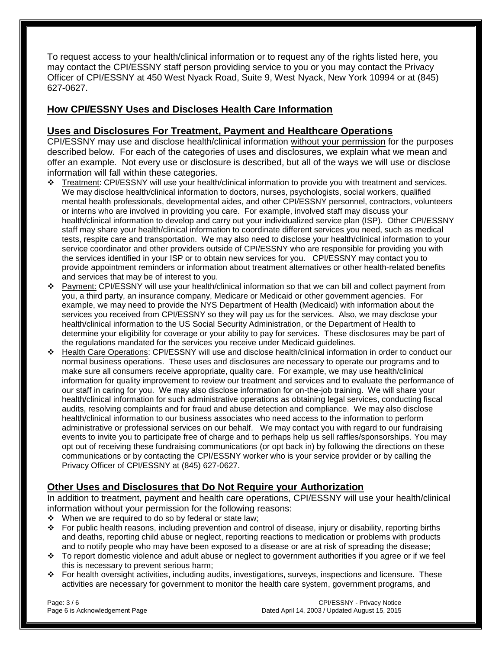To request access to your health/clinical information or to request any of the rights listed here, you may contact the CPI/ESSNY staff person providing service to you or you may contact the Privacy Officer of CPI/ESSNY at 450 West Nyack Road, Suite 9, West Nyack, New York 10994 or at (845) 627-0627.

#### **How CPI/ESSNY Uses and Discloses Health Care Information**

#### **Uses and Disclosures For Treatment, Payment and Healthcare Operations**

CPI/ESSNY may use and disclose health/clinical information without your permission for the purposes described below. For each of the categories of uses and disclosures, we explain what we mean and offer an example. Not every use or disclosure is described, but all of the ways we will use or disclose information will fall within these categories.

- Treatment: CPI/ESSNY will use your health/clinical information to provide you with treatment and services. We may disclose health/clinical information to doctors, nurses, psychologists, social workers, qualified mental health professionals, developmental aides, and other CPI/ESSNY personnel, contractors, volunteers or interns who are involved in providing you care. For example, involved staff may discuss your health/clinical information to develop and carry out your individualized service plan (ISP). Other CPI/ESSNY staff may share your health/clinical information to coordinate different services you need, such as medical tests, respite care and transportation. We may also need to disclose your health/clinical information to your service coordinator and other providers outside of CPI/ESSNY who are responsible for providing you with the services identified in your ISP or to obtain new services for you. CPI/ESSNY may contact you to provide appointment reminders or information about treatment alternatives or other health-related benefits and services that may be of interest to you.
- Payment: CPI/ESSNY will use your health/clinical information so that we can bill and collect payment from you, a third party, an insurance company, Medicare or Medicaid or other government agencies. For example, we may need to provide the NYS Department of Health (Medicaid) with information about the services you received from CPI/ESSNY so they will pay us for the services. Also, we may disclose your health/clinical information to the US Social Security Administration, or the Department of Health to determine your eligibility for coverage or your ability to pay for services. These disclosures may be part of the regulations mandated for the services you receive under Medicaid guidelines.
- Health Care Operations: CPI/ESSNY will use and disclose health/clinical information in order to conduct our normal business operations. These uses and disclosures are necessary to operate our programs and to make sure all consumers receive appropriate, quality care. For example, we may use health/clinical information for quality improvement to review our treatment and services and to evaluate the performance of our staff in caring for you. We may also disclose information for on-the-job training. We will share your health/clinical information for such administrative operations as obtaining legal services, conducting fiscal audits, resolving complaints and for fraud and abuse detection and compliance. We may also disclose health/clinical information to our business associates who need access to the information to perform administrative or professional services on our behalf. We may contact you with regard to our fundraising events to invite you to participate free of charge and to perhaps help us sell raffles/sponsorships. You may opt out of receiving these fundraising communications (or opt back in) by following the directions on these communications or by contacting the CPI/ESSNY worker who is your service provider or by calling the Privacy Officer of CPI/ESSNY at (845) 627-0627.

### **Other Uses and Disclosures that Do Not Require your Authorization**

In addition to treatment, payment and health care operations, CPI/ESSNY will use your health/clinical information without your permission for the following reasons:

- \* When we are required to do so by federal or state law;
- For public health reasons, including prevention and control of disease, injury or disability, reporting births and deaths, reporting child abuse or neglect, reporting reactions to medication or problems with products and to notify people who may have been exposed to a disease or are at risk of spreading the disease;
- To report domestic violence and adult abuse or neglect to government authorities if you agree or if we feel this is necessary to prevent serious harm;
- For health oversight activities, including audits, investigations, surveys, inspections and licensure. These activities are necessary for government to monitor the health care system, government programs, and

Page: 3 / 6 CPI/ESSNY - Privacy Notice Page 6 is Acknowledgement Page Dated April 14, 2003 / Updated August 15, 2015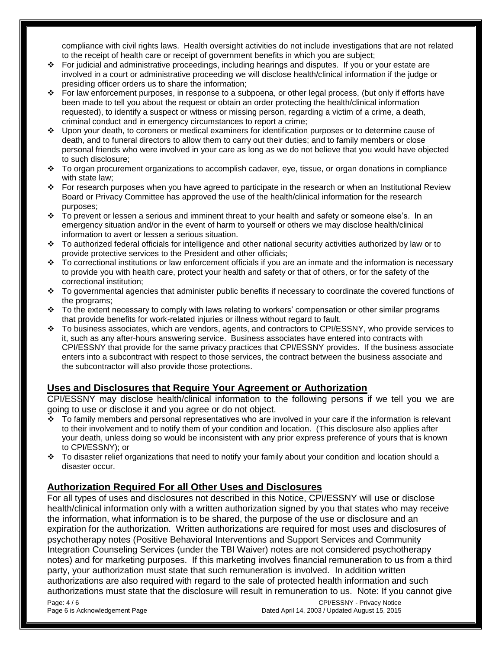compliance with civil rights laws. Health oversight activities do not include investigations that are not related to the receipt of health care or receipt of government benefits in which you are subject;

- For judicial and administrative proceedings, including hearings and disputes. If you or your estate are involved in a court or administrative proceeding we will disclose health/clinical information if the judge or presiding officer orders us to share the information;
- For law enforcement purposes, in response to a subpoena, or other legal process, (but only if efforts have been made to tell you about the request or obtain an order protecting the health/clinical information requested), to identify a suspect or witness or missing person, regarding a victim of a crime, a death, criminal conduct and in emergency circumstances to report a crime;
- Upon your death, to coroners or medical examiners for identification purposes or to determine cause of death, and to funeral directors to allow them to carry out their duties; and to family members or close personal friends who were involved in your care as long as we do not believe that you would have objected to such disclosure;
- To organ procurement organizations to accomplish cadaver, eye, tissue, or organ donations in compliance with state law;
- For research purposes when you have agreed to participate in the research or when an Institutional Review Board or Privacy Committee has approved the use of the health/clinical information for the research purposes;
- $\div$  To prevent or lessen a serious and imminent threat to your health and safety or someone else's. In an emergency situation and/or in the event of harm to yourself or others we may disclose health/clinical information to avert or lessen a serious situation.
- To authorized federal officials for intelligence and other national security activities authorized by law or to provide protective services to the President and other officials;
- $\div$  To correctional institutions or law enforcement officials if you are an inmate and the information is necessary to provide you with health care, protect your health and safety or that of others, or for the safety of the correctional institution;
- $\div$  To governmental agencies that administer public benefits if necessary to coordinate the covered functions of the programs;
- $\div$  To the extent necessary to comply with laws relating to workers' compensation or other similar programs that provide benefits for work-related injuries or illness without regard to fault.
- To business associates, which are vendors, agents, and contractors to CPI/ESSNY, who provide services to it, such as any after-hours answering service. Business associates have entered into contracts with CPI/ESSNY that provide for the same privacy practices that CPI/ESSNY provides. If the business associate enters into a subcontract with respect to those services, the contract between the business associate and the subcontractor will also provide those protections.

### **Uses and Disclosures that Require Your Agreement or Authorization**

CPI/ESSNY may disclose health/clinical information to the following persons if we tell you we are going to use or disclose it and you agree or do not object.

- \* To family members and personal representatives who are involved in your care if the information is relevant to their involvement and to notify them of your condition and location. (This disclosure also applies after your death, unless doing so would be inconsistent with any prior express preference of yours that is known to CPI/ESSNY); or
- $\div$  To disaster relief organizations that need to notify your family about your condition and location should a disaster occur.

### **Authorization Required For all Other Uses and Disclosures**

For all types of uses and disclosures not described in this Notice, CPI/ESSNY will use or disclose health/clinical information only with a written authorization signed by you that states who may receive the information, what information is to be shared, the purpose of the use or disclosure and an expiration for the authorization. Written authorizations are required for most uses and disclosures of psychotherapy notes (Positive Behavioral Interventions and Support Services and Community Integration Counseling Services (under the TBI Waiver) notes are not considered psychotherapy notes) and for marketing purposes. If this marketing involves financial remuneration to us from a third party, your authorization must state that such remuneration is involved. In addition written authorizations are also required with regard to the sale of protected health information and such authorizations must state that the disclosure will result in remuneration to us. Note: If you cannot give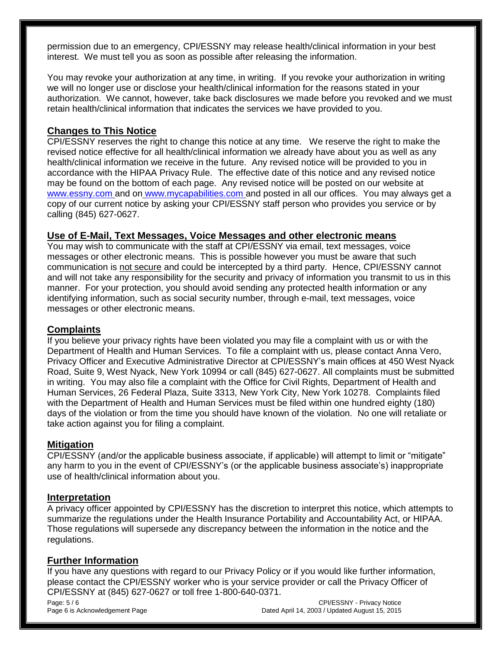permission due to an emergency, CPI/ESSNY may release health/clinical information in your best interest. We must tell you as soon as possible after releasing the information.

You may revoke your authorization at any time, in writing. If you revoke your authorization in writing we will no longer use or disclose your health/clinical information for the reasons stated in your authorization. We cannot, however, take back disclosures we made before you revoked and we must retain health/clinical information that indicates the services we have provided to you.

#### **Changes to This Notice**

CPI/ESSNY reserves the right to change this notice at any time. We reserve the right to make the revised notice effective for all health/clinical information we already have about you as well as any health/clinical information we receive in the future. Any revised notice will be provided to you in accordance with the HIPAA Privacy Rule. The effective date of this notice and any revised notice may be found on the bottom of each page. Any revised notice will be posted on our website at [www.essny.com](http://www.epiinfo.org/) and on [www.mycapabilities.com](http://www.mycapabilities.com/) and posted in all our offices. You may always get a copy of our current notice by asking your CPI/ESSNY staff person who provides you service or by calling (845) 627-0627.

#### **Use of E-Mail, Text Messages, Voice Messages and other electronic means**

You may wish to communicate with the staff at CPI/ESSNY via email, text messages, voice messages or other electronic means. This is possible however you must be aware that such communication is not secure and could be intercepted by a third party. Hence, CPI/ESSNY cannot and will not take any responsibility for the security and privacy of information you transmit to us in this manner. For your protection, you should avoid sending any protected health information or any identifying information, such as social security number, through e-mail, text messages, voice messages or other electronic means.

#### **Complaints**

If you believe your privacy rights have been violated you may file a complaint with us or with the Department of Health and Human Services. To file a complaint with us, please contact Anna Vero, Privacy Officer and Executive Administrative Director at CPI/ESSNY's main offices at 450 West Nyack Road, Suite 9, West Nyack, New York 10994 or call (845) 627-0627. All complaints must be submitted in writing. You may also file a complaint with the Office for Civil Rights, Department of Health and Human Services, 26 Federal Plaza, Suite 3313, New York City, New York 10278. Complaints filed with the Department of Health and Human Services must be filed within one hundred eighty (180) days of the violation or from the time you should have known of the violation. No one will retaliate or take action against you for filing a complaint.

#### **Mitigation**

CPI/ESSNY (and/or the applicable business associate, if applicable) will attempt to limit or "mitigate" any harm to you in the event of CPI/ESSNY's (or the applicable business associate's) inappropriate use of health/clinical information about you.

#### **Interpretation**

A privacy officer appointed by CPI/ESSNY has the discretion to interpret this notice, which attempts to summarize the regulations under the Health Insurance Portability and Accountability Act, or HIPAA. Those regulations will supersede any discrepancy between the information in the notice and the regulations.

#### **Further Information**

If you have any questions with regard to our Privacy Policy or if you would like further information, please contact the CPI/ESSNY worker who is your service provider or call the Privacy Officer of CPI/ESSNY at (845) 627-0627 or toll free 1-800-640-0371.

Page:  $5/6$  Privacy Notice Privacy Notice Privacy Notice Privacy Notice Privacy Notice Privacy Notice Privacy Notice Privacy Notice Privacy Notice Privacy Notice Privacy Notice Privacy Notice Privacy Notice Privacy Notice Page 6 is Acknowledgement Page Dated April 14, 2003 / Updated August 15, 2015